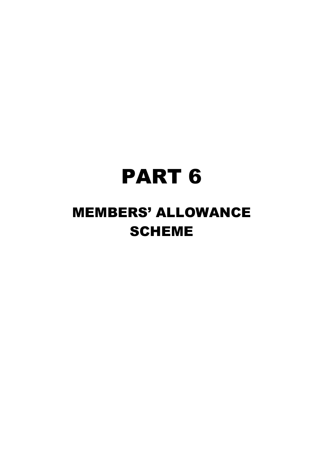# PART 6

# MEMBERS' ALLOWANCE SCHEME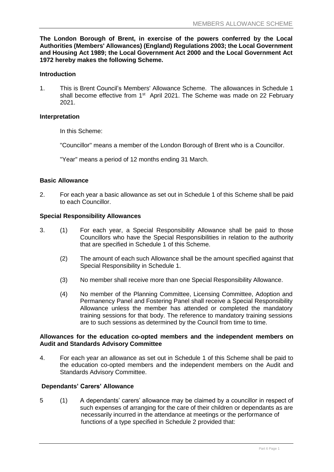**The London Borough of Brent, in exercise of the powers conferred by the Local Authorities (Members' Allowances) (England) Regulations 2003; the Local Government and Housing Act 1989; the Local Government Act 2000 and the Local Government Act 1972 hereby makes the following Scheme.**

#### **Introduction**

1. This is Brent Council's Members' Allowance Scheme. The allowances in Schedule 1 shall become effective from 1<sup>st</sup> April 2021. The Scheme was made on 22 February 2021.

#### **Interpretation**

In this Scheme:

"Councillor" means a member of the London Borough of Brent who is a Councillor.

"Year" means a period of 12 months ending 31 March.

#### **Basic Allowance**

2. For each year a basic allowance as set out in Schedule 1 of this Scheme shall be paid to each Councillor.

#### **Special Responsibility Allowances**

- 3. (1) For each year, a Special Responsibility Allowance shall be paid to those Councillors who have the Special Responsibilities in relation to the authority that are specified in Schedule 1 of this Scheme.
	- (2) The amount of each such Allowance shall be the amount specified against that Special Responsibility in Schedule 1.
	- (3) No member shall receive more than one Special Responsibility Allowance.
	- (4) No member of the Planning Committee, Licensing Committee, Adoption and Permanency Panel and Fostering Panel shall receive a Special Responsibility Allowance unless the member has attended or completed the mandatory training sessions for that body. The reference to mandatory training sessions are to such sessions as determined by the Council from time to time.

#### **Allowances for the education co-opted members and the independent members on Audit and Standards Advisory Committee**

4. For each year an allowance as set out in Schedule 1 of this Scheme shall be paid to the education co-opted members and the independent members on the Audit and Standards Advisory Committee.

#### **Dependants' Carers' Allowance**

5 (1) A dependants' carers' allowance may be claimed by a councillor in respect of such expenses of arranging for the care of their children or dependants as are necessarily incurred in the attendance at meetings or the performance of functions of a type specified in Schedule 2 provided that: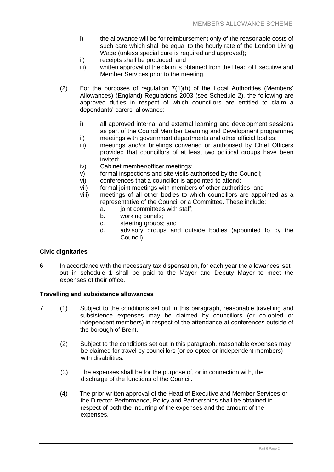- i) the allowance will be for reimbursement only of the reasonable costs of such care which shall be equal to the hourly rate of the London Living Wage (unless special care is required and approved);
- ii) receipts shall be produced; and
- iii) written approval of the claim is obtained from the Head of Executive and Member Services prior to the meeting.
- (2) For the purposes of regulation 7(1)(h) of the Local Authorities (Members' Allowances) (England) Regulations 2003 (see Schedule 2), the following are approved duties in respect of which councillors are entitled to claim a dependants' carers' allowance:
	- i) all approved internal and external learning and development sessions as part of the Council Member Learning and Development programme;
	- ii) meetings with government departments and other official bodies;
	- iii) meetings and/or briefings convened or authorised by Chief Officers provided that councillors of at least two political groups have been invited;
	- iv) Cabinet member/officer meetings;
	- v) formal inspections and site visits authorised by the Council;
	- vi) conferences that a councillor is appointed to attend;
	- vii) formal joint meetings with members of other authorities; and
	- viii) meetings of all other bodies to which councillors are appointed as a representative of the Council or a Committee. These include:
		- a. joint committees with staff:
		- b. working panels;
		- c. steering groups; and
		- d. advisory groups and outside bodies (appointed to by the Council).

#### **Civic dignitaries**

6. In accordance with the necessary tax dispensation, for each year the allowances set out in schedule 1 shall be paid to the Mayor and Deputy Mayor to meet the expenses of their office.

#### **Travelling and subsistence allowances**

- 7. (1) Subject to the conditions set out in this paragraph, reasonable travelling and subsistence expenses may be claimed by councillors (or co-opted or independent members) in respect of the attendance at conferences outside of the borough of Brent.
	- (2) Subject to the conditions set out in this paragraph, reasonable expenses may be claimed for travel by councillors (or co-opted or independent members) with disabilities.
	- (3) The expenses shall be for the purpose of, or in connection with, the discharge of the functions of the Council.
	- (4) The prior written approval of the Head of Executive and Member Services or the Director Performance, Policy and Partnerships shall be obtained in respect of both the incurring of the expenses and the amount of the expenses.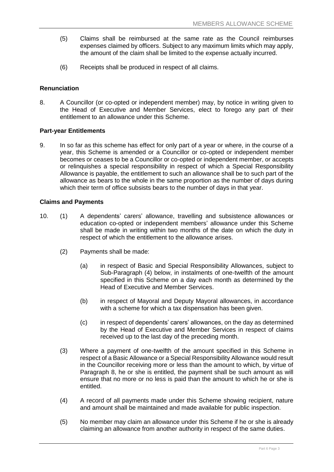- (5) Claims shall be reimbursed at the same rate as the Council reimburses expenses claimed by officers. Subject to any maximum limits which may apply, the amount of the claim shall be limited to the expense actually incurred.
- (6) Receipts shall be produced in respect of all claims.

#### **Renunciation**

8. A Councillor (or co-opted or independent member) may, by notice in writing given to the Head of Executive and Member Services, elect to forego any part of their entitlement to an allowance under this Scheme.

#### **Part-year Entitlements**

9. In so far as this scheme has effect for only part of a year or where, in the course of a year, this Scheme is amended or a Councillor or co-opted or independent member becomes or ceases to be a Councillor or co-opted or independent member, or accepts or relinquishes a special responsibility in respect of which a Special Responsibility Allowance is payable, the entitlement to such an allowance shall be to such part of the allowance as bears to the whole in the same proportion as the number of days during which their term of office subsists bears to the number of days in that year.

#### **Claims and Payments**

- 10. (1) A dependents' carers' allowance, travelling and subsistence allowances or education co-opted or independent members' allowance under this Scheme shall be made in writing within two months of the date on which the duty in respect of which the entitlement to the allowance arises.
	- (2) Payments shall be made:
		- (a) in respect of Basic and Special Responsibility Allowances, subject to Sub-Paragraph (4) below, in instalments of one-twelfth of the amount specified in this Scheme on a day each month as determined by the Head of Executive and Member Services.
		- (b) in respect of Mayoral and Deputy Mayoral allowances, in accordance with a scheme for which a tax dispensation has been given.
		- (c) in respect of dependents' carers' allowances, on the day as determined by the Head of Executive and Member Services in respect of claims received up to the last day of the preceding month.
	- (3) Where a payment of one-twelfth of the amount specified in this Scheme in respect of a Basic Allowance or a Special Responsibility Allowance would result in the Councillor receiving more or less than the amount to which, by virtue of Paragraph 8, he or she is entitled, the payment shall be such amount as will ensure that no more or no less is paid than the amount to which he or she is entitled.
	- (4) A record of all payments made under this Scheme showing recipient, nature and amount shall be maintained and made available for public inspection.
	- (5) No member may claim an allowance under this Scheme if he or she is already claiming an allowance from another authority in respect of the same duties.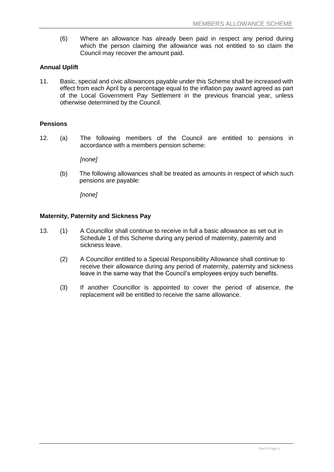(6) Where an allowance has already been paid in respect any period during which the person claiming the allowance was not entitled to so claim the Council may recover the amount paid.

#### **Annual Uplift**

11. Basic, special and civic allowances payable under this Scheme shall be increased with effect from each April by a percentage equal to the inflation pay award agreed as part of the Local Government Pay Settlement in the previous financial year, unless otherwise determined by the Council.

#### **Pensions**

12. (a) The following members of the Council are entitled to pensions in accordance with a members pension scheme:

*[none]*

(b) The following allowances shall be treated as amounts in respect of which such pensions are payable:

*[none]*

#### **Maternity, Paternity and Sickness Pay**

- 13. (1) A Councillor shall continue to receive in full a basic allowance as set out in Schedule 1 of this Scheme during any period of maternity, paternity and sickness leave.
	- (2) A Councillor entitled to a Special Responsibility Allowance shall continue to receive their allowance during any period of maternity, paternity and sickness leave in the same way that the Council's employees enjoy such benefits.
	- (3) If another Councillor is appointed to cover the period of absence, the replacement will be entitled to receive the same allowance.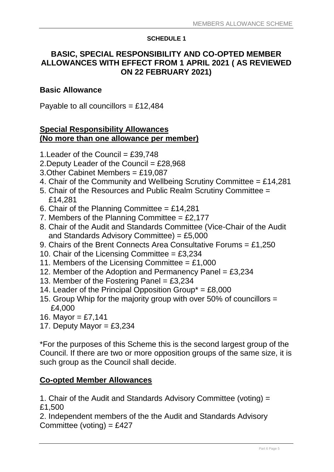### **SCHEDULE 1**

# **BASIC, SPECIAL RESPONSIBILITY AND CO-OPTED MEMBER ALLOWANCES WITH EFFECT FROM 1 APRIL 2021 ( AS REVIEWED ON 22 FEBRUARY 2021)**

# **Basic Allowance**

Payable to all councillors = £12,484

## **Special Responsibility Allowances (No more than one allowance per member)**

- 1. Leader of the Council =  $£39,748$
- 2. Deputy Leader of the Council =  $£28,968$
- 3.Other Cabinet Members = £19,087
- 4. Chair of the Community and Wellbeing Scrutiny Committee = £14,281
- 5. Chair of the Resources and Public Realm Scrutiny Committee = £14,281
- 6. Chair of the Planning Committee =  $£14,281$
- 7. Members of the Planning Committee =  $£2.177$
- 8. Chair of the Audit and Standards Committee (Vice-Chair of the Audit and Standards Advisory Committee) = £5,000
- 9. Chairs of the Brent Connects Area Consultative Forums = £1,250
- 10. Chair of the Licensing Committee =  $£3,234$
- 11. Members of the Licensing Committee =  $£1,000$
- 12. Member of the Adoption and Permanency Panel = £3,234
- 13. Member of the Fostering Panel =  $£3,234$
- 14. Leader of the Principal Opposition Group $* = \text{\pounds}8,000$
- 15. Group Whip for the majority group with over 50% of councillors = £4,000
- 16. Mayor =  $£7,141$
- 17. Deputy Mayor =  $£3,234$

\*For the purposes of this Scheme this is the second largest group of the Council. If there are two or more opposition groups of the same size, it is such group as the Council shall decide.

# **Co-opted Member Allowances**

1. Chair of the Audit and Standards Advisory Committee (voting) = £1,500

2. Independent members of the the Audit and Standards Advisory Committee (voting) = £427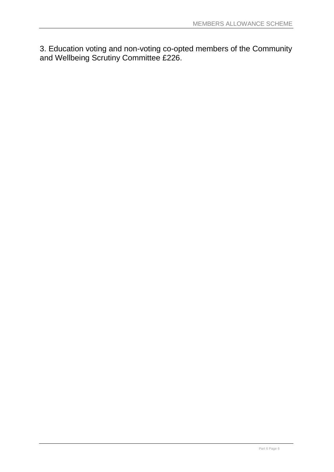3. Education voting and non-voting co-opted members of the Community and Wellbeing Scrutiny Committee £226.